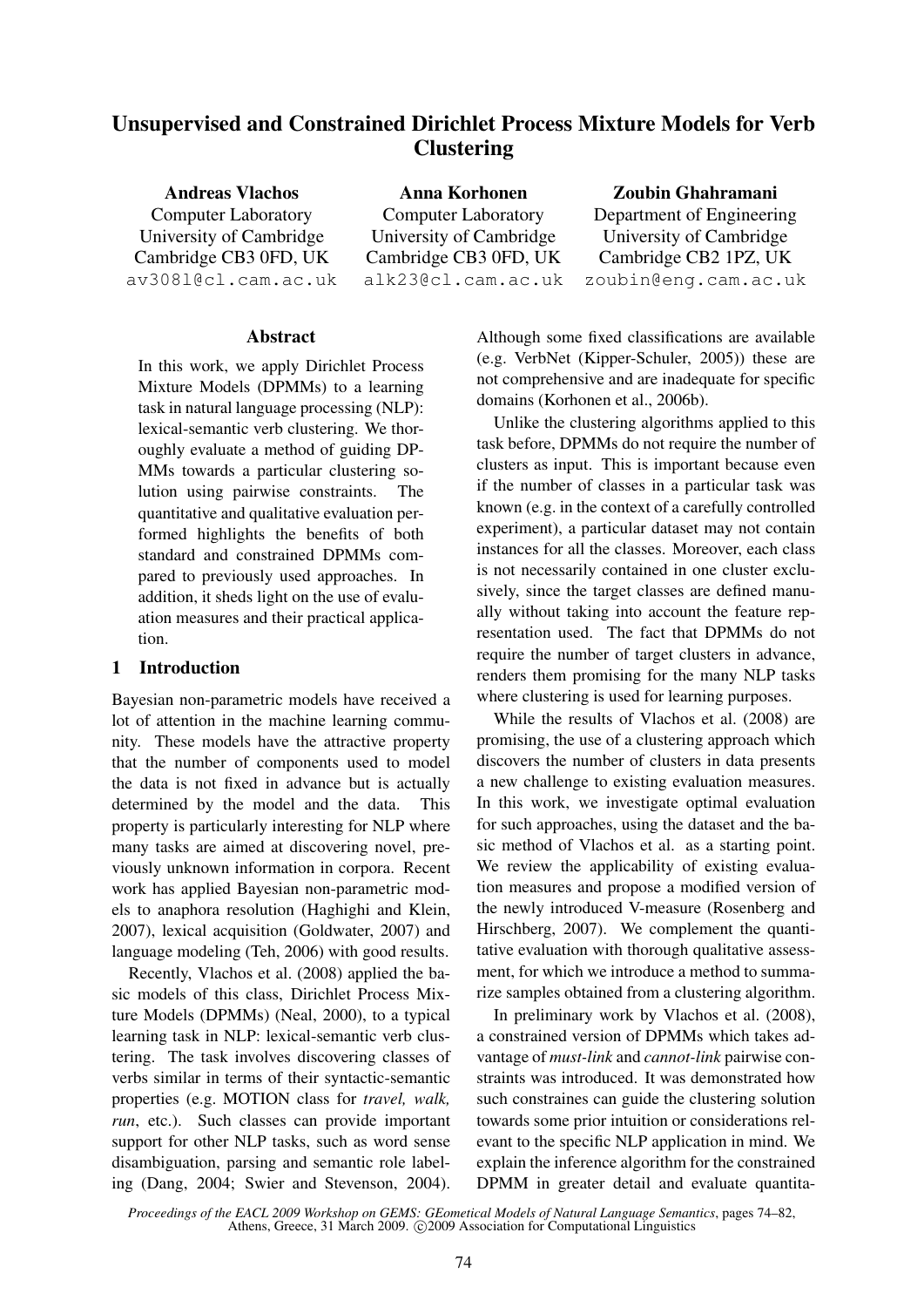# Unsupervised and Constrained Dirichlet Process Mixture Models for Verb **Clustering**

Andreas Vlachos Computer Laboratory University of Cambridge Cambridge CB3 0FD, UK av308l@cl.cam.ac.uk

Anna Korhonen Computer Laboratory University of Cambridge Cambridge CB3 0FD, UK alk23@cl.cam.ac.uk

## Zoubin Ghahramani

Department of Engineering University of Cambridge Cambridge CB2 1PZ, UK zoubin@eng.cam.ac.uk

### Abstract

In this work, we apply Dirichlet Process Mixture Models (DPMMs) to a learning task in natural language processing (NLP): lexical-semantic verb clustering. We thoroughly evaluate a method of guiding DP-MMs towards a particular clustering solution using pairwise constraints. The quantitative and qualitative evaluation performed highlights the benefits of both standard and constrained DPMMs compared to previously used approaches. In addition, it sheds light on the use of evaluation measures and their practical application.

#### 1 Introduction

Bayesian non-parametric models have received a lot of attention in the machine learning community. These models have the attractive property that the number of components used to model the data is not fixed in advance but is actually determined by the model and the data. This property is particularly interesting for NLP where many tasks are aimed at discovering novel, previously unknown information in corpora. Recent work has applied Bayesian non-parametric models to anaphora resolution (Haghighi and Klein, 2007), lexical acquisition (Goldwater, 2007) and language modeling (Teh, 2006) with good results.

Recently, Vlachos et al. (2008) applied the basic models of this class, Dirichlet Process Mixture Models (DPMMs) (Neal, 2000), to a typical learning task in NLP: lexical-semantic verb clustering. The task involves discovering classes of verbs similar in terms of their syntactic-semantic properties (e.g. MOTION class for *travel, walk, run*, etc.). Such classes can provide important support for other NLP tasks, such as word sense disambiguation, parsing and semantic role labeling (Dang, 2004; Swier and Stevenson, 2004).

Although some fixed classifications are available (e.g. VerbNet (Kipper-Schuler, 2005)) these are not comprehensive and are inadequate for specific domains (Korhonen et al., 2006b).

Unlike the clustering algorithms applied to this task before, DPMMs do not require the number of clusters as input. This is important because even if the number of classes in a particular task was known (e.g. in the context of a carefully controlled experiment), a particular dataset may not contain instances for all the classes. Moreover, each class is not necessarily contained in one cluster exclusively, since the target classes are defined manually without taking into account the feature representation used. The fact that DPMMs do not require the number of target clusters in advance, renders them promising for the many NLP tasks where clustering is used for learning purposes.

While the results of Vlachos et al. (2008) are promising, the use of a clustering approach which discovers the number of clusters in data presents a new challenge to existing evaluation measures. In this work, we investigate optimal evaluation for such approaches, using the dataset and the basic method of Vlachos et al. as a starting point. We review the applicability of existing evaluation measures and propose a modified version of the newly introduced V-measure (Rosenberg and Hirschberg, 2007). We complement the quantitative evaluation with thorough qualitative assessment, for which we introduce a method to summarize samples obtained from a clustering algorithm.

In preliminary work by Vlachos et al. (2008), a constrained version of DPMMs which takes advantage of *must-link* and *cannot-link* pairwise constraints was introduced. It was demonstrated how such constraines can guide the clustering solution towards some prior intuition or considerations relevant to the specific NLP application in mind. We explain the inference algorithm for the constrained DPMM in greater detail and evaluate quantita-

*Proceedings of the EACL 2009 Workshop on GEMS: GEometical Models of Natural Language Semantics*, pages 74–82, Athens, Greece, 31 March 2009. ©2009 Association for Computational Linguistics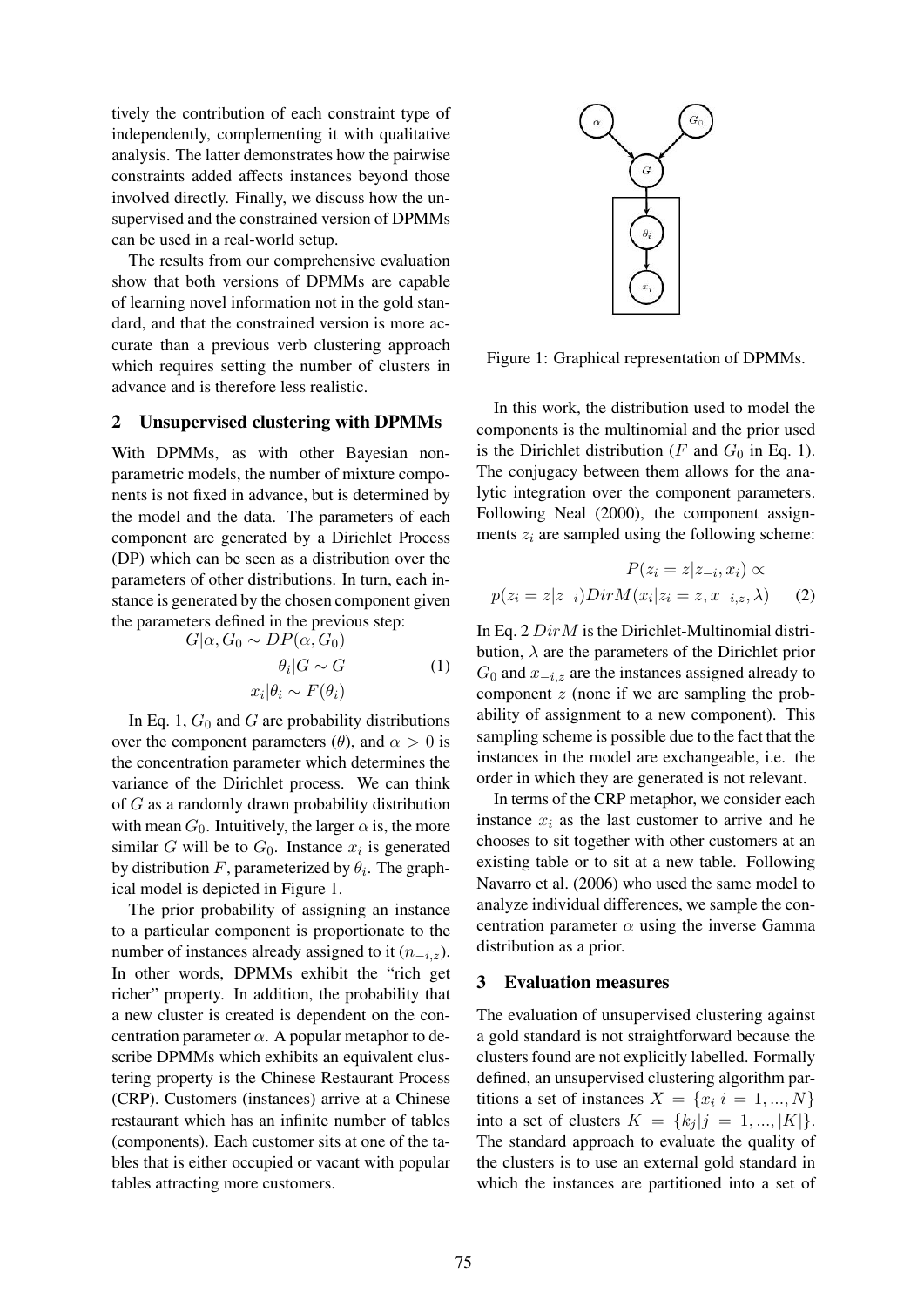tively the contribution of each constraint type of independently, complementing it with qualitative analysis. The latter demonstrates how the pairwise constraints added affects instances beyond those involved directly. Finally, we discuss how the unsupervised and the constrained version of DPMMs can be used in a real-world setup.

The results from our comprehensive evaluation show that both versions of DPMMs are capable of learning novel information not in the gold standard, and that the constrained version is more accurate than a previous verb clustering approach which requires setting the number of clusters in advance and is therefore less realistic.

#### 2 Unsupervised clustering with DPMMs

With DPMMs, as with other Bayesian nonparametric models, the number of mixture components is not fixed in advance, but is determined by the model and the data. The parameters of each component are generated by a Dirichlet Process (DP) which can be seen as a distribution over the parameters of other distributions. In turn, each instance is generated by the chosen component given the parameters defined in the previous step:

$$
G|\alpha, G_0 \sim DP(\alpha, G_0)
$$
  
\n
$$
\theta_i | G \sim G
$$
  
\n
$$
x_i |\theta_i \sim F(\theta_i)
$$
 (1)

In Eq. 1,  $G_0$  and G are probability distributions over the component parameters ( $\theta$ ), and  $\alpha > 0$  is the concentration parameter which determines the variance of the Dirichlet process. We can think of G as a randomly drawn probability distribution with mean  $G_0$ . Intuitively, the larger  $\alpha$  is, the more similar G will be to  $G_0$ . Instance  $x_i$  is generated by distribution F, parameterized by  $\theta_i$ . The graphical model is depicted in Figure 1.

The prior probability of assigning an instance to a particular component is proportionate to the number of instances already assigned to it  $(n_{-i,z})$ . In other words, DPMMs exhibit the "rich get richer" property. In addition, the probability that a new cluster is created is dependent on the concentration parameter  $\alpha$ . A popular metaphor to describe DPMMs which exhibits an equivalent clustering property is the Chinese Restaurant Process (CRP). Customers (instances) arrive at a Chinese restaurant which has an infinite number of tables (components). Each customer sits at one of the tables that is either occupied or vacant with popular tables attracting more customers.



Figure 1: Graphical representation of DPMMs.

In this work, the distribution used to model the components is the multinomial and the prior used is the Dirichlet distribution (F and  $G_0$  in Eq. 1). The conjugacy between them allows for the analytic integration over the component parameters. Following Neal (2000), the component assignments  $z_i$  are sampled using the following scheme:

$$
P(z_i = z | z_{-i}, x_i) \propto
$$
  

$$
p(z_i = z | z_{-i}) Dir M(x_i | z_i = z, x_{-i, z}, \lambda)
$$
 (2)

In Eq.  $2$   $DirM$  is the Dirichlet-Multinomial distribution,  $\lambda$  are the parameters of the Dirichlet prior  $G_0$  and  $x_{-i,z}$  are the instances assigned already to component  $z$  (none if we are sampling the probability of assignment to a new component). This sampling scheme is possible due to the fact that the instances in the model are exchangeable, i.e. the order in which they are generated is not relevant.

In terms of the CRP metaphor, we consider each instance  $x_i$  as the last customer to arrive and he chooses to sit together with other customers at an existing table or to sit at a new table. Following Navarro et al. (2006) who used the same model to analyze individual differences, we sample the concentration parameter  $\alpha$  using the inverse Gamma distribution as a prior.

## 3 Evaluation measures

The evaluation of unsupervised clustering against a gold standard is not straightforward because the clusters found are not explicitly labelled. Formally defined, an unsupervised clustering algorithm partitions a set of instances  $X = \{x_i | i = 1, ..., N\}$ into a set of clusters  $K = \{k_j | j = 1, ..., |K|\}.$ The standard approach to evaluate the quality of the clusters is to use an external gold standard in which the instances are partitioned into a set of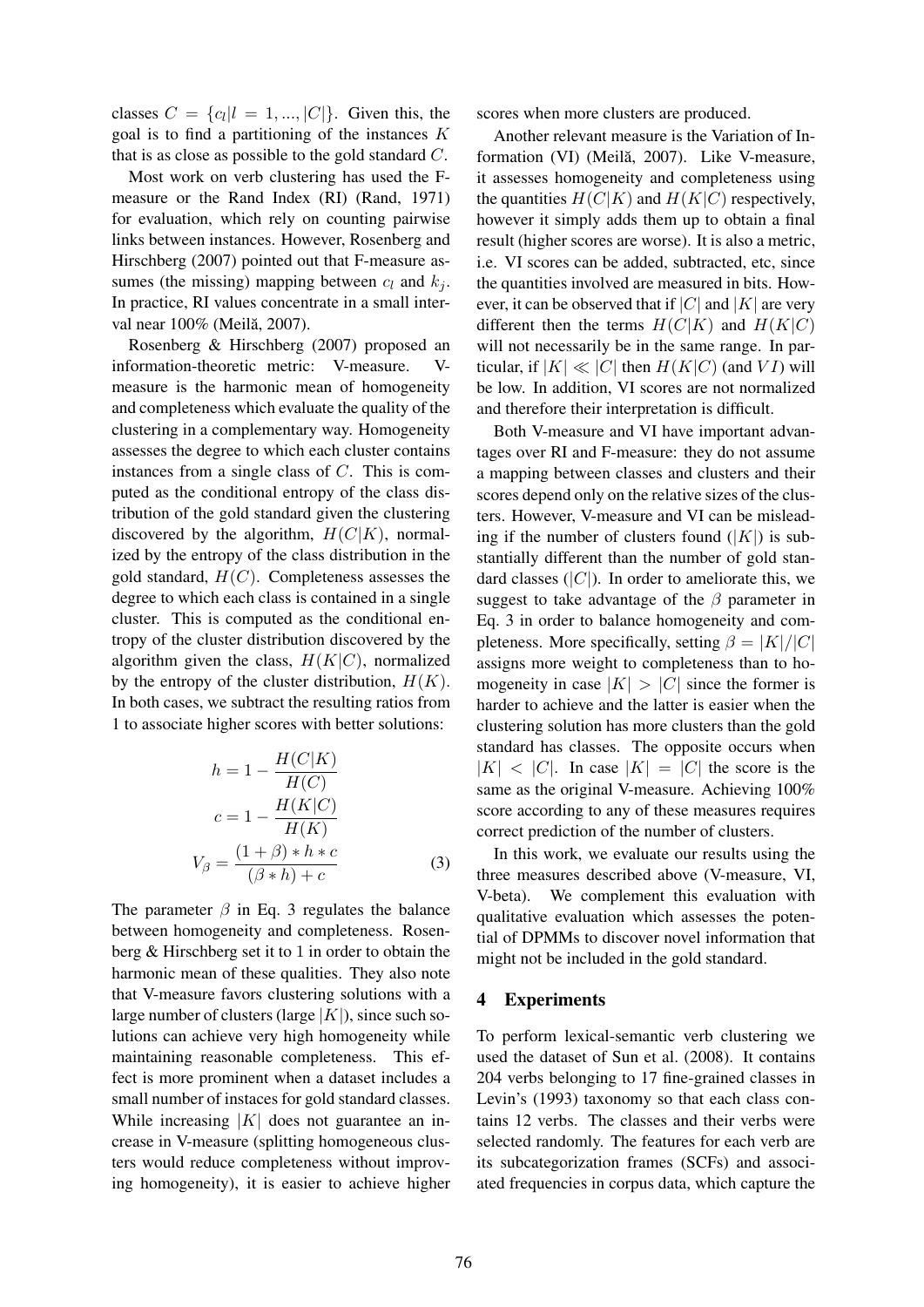classes  $C = \{c_l | l = 1, ..., |C|\}$ . Given this, the goal is to find a partitioning of the instances  $K$ that is as close as possible to the gold standard C.

Most work on verb clustering has used the Fmeasure or the Rand Index (RI) (Rand, 1971) for evaluation, which rely on counting pairwise links between instances. However, Rosenberg and Hirschberg (2007) pointed out that F-measure assumes (the missing) mapping between  $c_l$  and  $k_j$ . In practice, RI values concentrate in a small interval near 100% (Meilă, 2007).

Rosenberg & Hirschberg (2007) proposed an information-theoretic metric: V-measure. Vmeasure is the harmonic mean of homogeneity and completeness which evaluate the quality of the clustering in a complementary way. Homogeneity assesses the degree to which each cluster contains instances from a single class of C. This is computed as the conditional entropy of the class distribution of the gold standard given the clustering discovered by the algorithm,  $H(C|K)$ , normalized by the entropy of the class distribution in the gold standard,  $H(C)$ . Completeness assesses the degree to which each class is contained in a single cluster. This is computed as the conditional entropy of the cluster distribution discovered by the algorithm given the class,  $H(K|C)$ , normalized by the entropy of the cluster distribution,  $H(K)$ . In both cases, we subtract the resulting ratios from 1 to associate higher scores with better solutions:

$$
h = 1 - \frac{H(C|K)}{H(C)}
$$

$$
c = 1 - \frac{H(K|C)}{H(K)}
$$

$$
V_{\beta} = \frac{(1+\beta) * h * c}{(\beta * h) + c}
$$
(3)

The parameter  $\beta$  in Eq. 3 regulates the balance between homogeneity and completeness. Rosenberg & Hirschberg set it to 1 in order to obtain the harmonic mean of these qualities. They also note that V-measure favors clustering solutions with a large number of clusters (large  $|K|$ ), since such solutions can achieve very high homogeneity while maintaining reasonable completeness. This effect is more prominent when a dataset includes a small number of instaces for gold standard classes. While increasing  $|K|$  does not guarantee an increase in V-measure (splitting homogeneous clusters would reduce completeness without improving homogeneity), it is easier to achieve higher scores when more clusters are produced.

Another relevant measure is the Variation of Information (VI) (Meilă, 2007). Like V-measure, it assesses homogeneity and completeness using the quantities  $H(C|K)$  and  $H(K|C)$  respectively, however it simply adds them up to obtain a final result (higher scores are worse). It is also a metric, i.e. VI scores can be added, subtracted, etc, since the quantities involved are measured in bits. However, it can be observed that if  $|C|$  and  $|K|$  are very different then the terms  $H(C|K)$  and  $H(K|C)$ will not necessarily be in the same range. In particular, if  $|K| \ll |C|$  then  $H(K|C)$  (and VI) will be low. In addition, VI scores are not normalized and therefore their interpretation is difficult.

Both V-measure and VI have important advantages over RI and F-measure: they do not assume a mapping between classes and clusters and their scores depend only on the relative sizes of the clusters. However, V-measure and VI can be misleading if the number of clusters found  $(|K|)$  is substantially different than the number of gold standard classes  $(|C|)$ . In order to ameliorate this, we suggest to take advantage of the  $\beta$  parameter in Eq. 3 in order to balance homogeneity and completeness. More specifically, setting  $\beta = |K|/|C|$ assigns more weight to completeness than to homogeneity in case  $|K| > |C|$  since the former is harder to achieve and the latter is easier when the clustering solution has more clusters than the gold standard has classes. The opposite occurs when  $|K| < |C|$ . In case  $|K| = |C|$  the score is the same as the original V-measure. Achieving 100% score according to any of these measures requires correct prediction of the number of clusters.

In this work, we evaluate our results using the three measures described above (V-measure, VI, V-beta). We complement this evaluation with qualitative evaluation which assesses the potential of DPMMs to discover novel information that might not be included in the gold standard.

#### 4 Experiments

To perform lexical-semantic verb clustering we used the dataset of Sun et al. (2008). It contains 204 verbs belonging to 17 fine-grained classes in Levin's (1993) taxonomy so that each class contains 12 verbs. The classes and their verbs were selected randomly. The features for each verb are its subcategorization frames (SCFs) and associated frequencies in corpus data, which capture the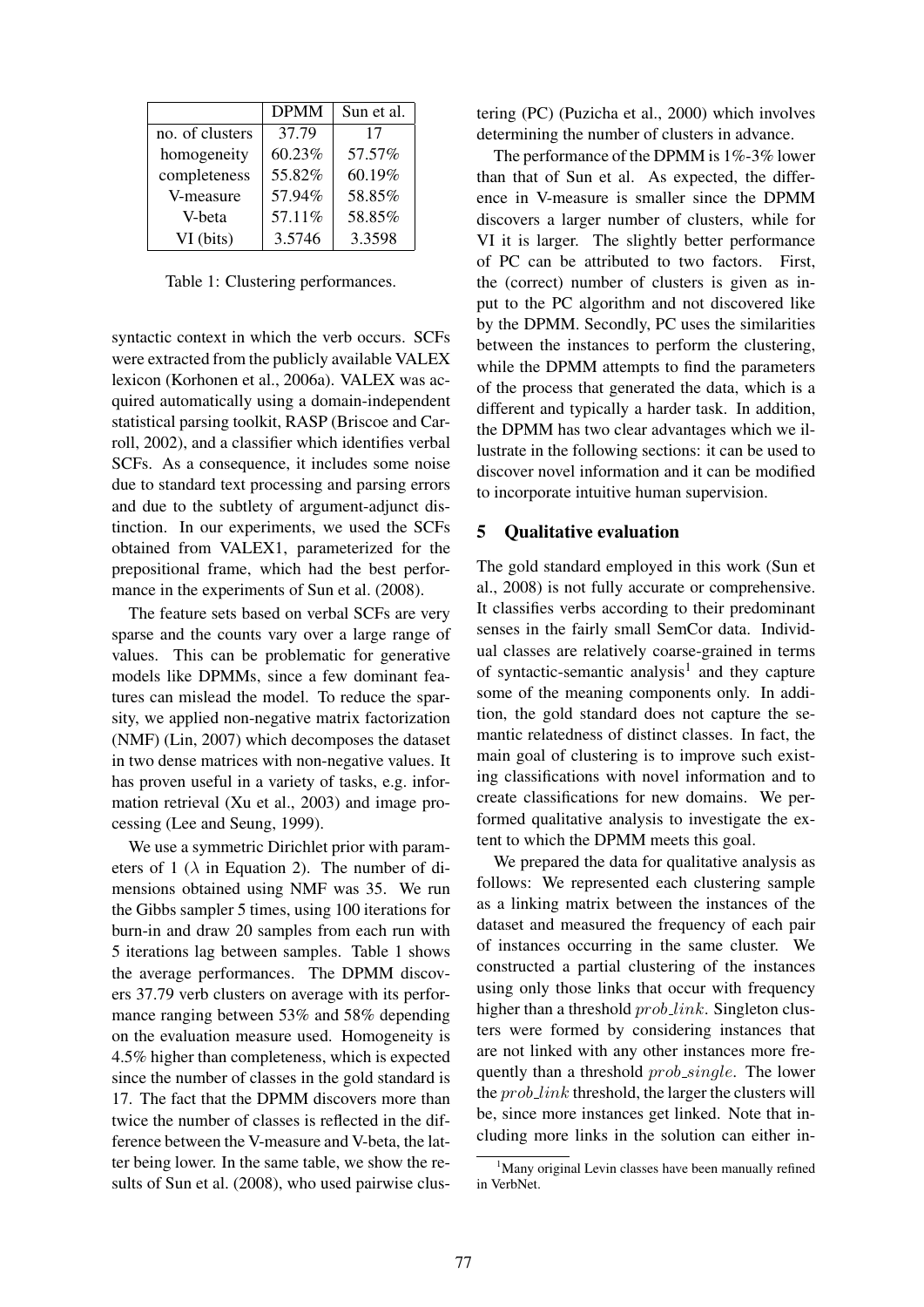|                 | <b>DPMM</b> | Sun et al. |
|-----------------|-------------|------------|
| no. of clusters | 37.79       | 17         |
| homogeneity     | 60.23%      | 57.57%     |
| completeness    | 55.82%      | 60.19%     |
| V-measure       | 57.94%      | 58.85%     |
| V-beta          | 57.11%      | 58.85%     |
| VI (bits)       | 3.5746      | 3.3598     |

Table 1: Clustering performances.

syntactic context in which the verb occurs. SCFs were extracted from the publicly available VALEX lexicon (Korhonen et al., 2006a). VALEX was acquired automatically using a domain-independent statistical parsing toolkit, RASP (Briscoe and Carroll, 2002), and a classifier which identifies verbal SCFs. As a consequence, it includes some noise due to standard text processing and parsing errors and due to the subtlety of argument-adjunct distinction. In our experiments, we used the SCFs obtained from VALEX1, parameterized for the prepositional frame, which had the best performance in the experiments of Sun et al. (2008).

The feature sets based on verbal SCFs are very sparse and the counts vary over a large range of values. This can be problematic for generative models like DPMMs, since a few dominant features can mislead the model. To reduce the sparsity, we applied non-negative matrix factorization (NMF) (Lin, 2007) which decomposes the dataset in two dense matrices with non-negative values. It has proven useful in a variety of tasks, e.g. information retrieval (Xu et al., 2003) and image processing (Lee and Seung, 1999).

We use a symmetric Dirichlet prior with parameters of 1 ( $\lambda$  in Equation 2). The number of dimensions obtained using NMF was 35. We run the Gibbs sampler 5 times, using 100 iterations for burn-in and draw 20 samples from each run with 5 iterations lag between samples. Table 1 shows the average performances. The DPMM discovers 37.79 verb clusters on average with its performance ranging between 53% and 58% depending on the evaluation measure used. Homogeneity is 4.5% higher than completeness, which is expected since the number of classes in the gold standard is 17. The fact that the DPMM discovers more than twice the number of classes is reflected in the difference between the V-measure and V-beta, the latter being lower. In the same table, we show the results of Sun et al. (2008), who used pairwise clustering (PC) (Puzicha et al., 2000) which involves determining the number of clusters in advance.

The performance of the DPMM is 1%-3% lower than that of Sun et al. As expected, the difference in V-measure is smaller since the DPMM discovers a larger number of clusters, while for VI it is larger. The slightly better performance of PC can be attributed to two factors. First, the (correct) number of clusters is given as input to the PC algorithm and not discovered like by the DPMM. Secondly, PC uses the similarities between the instances to perform the clustering, while the DPMM attempts to find the parameters of the process that generated the data, which is a different and typically a harder task. In addition, the DPMM has two clear advantages which we illustrate in the following sections: it can be used to discover novel information and it can be modified to incorporate intuitive human supervision.

#### 5 Qualitative evaluation

The gold standard employed in this work (Sun et al., 2008) is not fully accurate or comprehensive. It classifies verbs according to their predominant senses in the fairly small SemCor data. Individual classes are relatively coarse-grained in terms of syntactic-semantic analysis<sup>1</sup> and they capture some of the meaning components only. In addition, the gold standard does not capture the semantic relatedness of distinct classes. In fact, the main goal of clustering is to improve such existing classifications with novel information and to create classifications for new domains. We performed qualitative analysis to investigate the extent to which the DPMM meets this goal.

We prepared the data for qualitative analysis as follows: We represented each clustering sample as a linking matrix between the instances of the dataset and measured the frequency of each pair of instances occurring in the same cluster. We constructed a partial clustering of the instances using only those links that occur with frequency higher than a threshold *prob.link*. Singleton clusters were formed by considering instances that are not linked with any other instances more frequently than a threshold *prob\_single*. The lower the *prob\_link* threshold, the larger the clusters will be, since more instances get linked. Note that including more links in the solution can either in-

<sup>&</sup>lt;sup>1</sup>Many original Levin classes have been manually refined in VerbNet.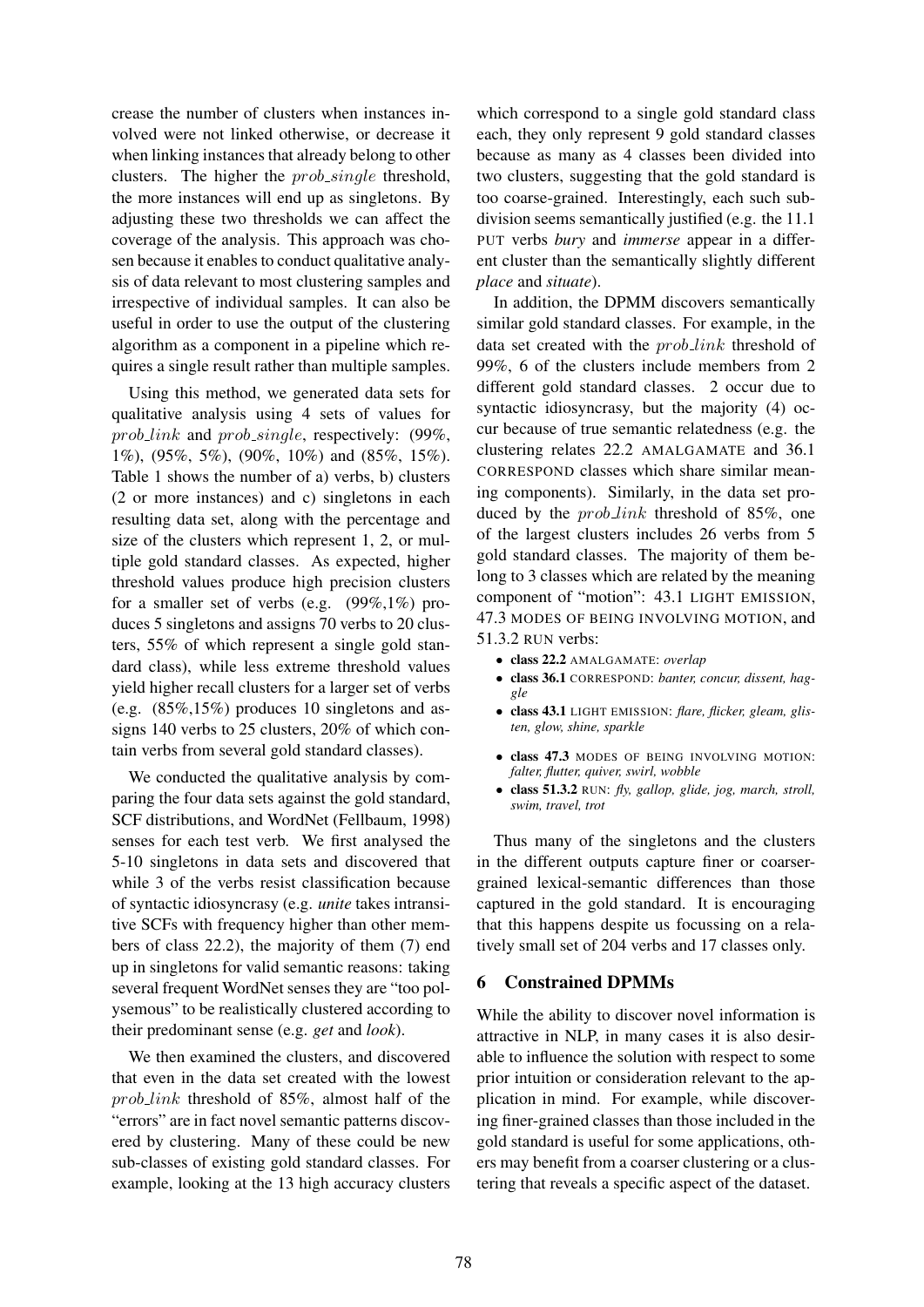crease the number of clusters when instances involved were not linked otherwise, or decrease it when linking instances that already belong to other clusters. The higher the *prob\_single* threshold, the more instances will end up as singletons. By adjusting these two thresholds we can affect the coverage of the analysis. This approach was chosen because it enables to conduct qualitative analysis of data relevant to most clustering samples and irrespective of individual samples. It can also be useful in order to use the output of the clustering algorithm as a component in a pipeline which requires a single result rather than multiple samples.

Using this method, we generated data sets for qualitative analysis using 4 sets of values for prob link and prob single, respectively: (99%, 1%), (95%, 5%), (90%, 10%) and (85%, 15%). Table 1 shows the number of a) verbs, b) clusters (2 or more instances) and c) singletons in each resulting data set, along with the percentage and size of the clusters which represent 1, 2, or multiple gold standard classes. As expected, higher threshold values produce high precision clusters for a smaller set of verbs (e.g.  $(99\%,1\%)$  produces 5 singletons and assigns 70 verbs to 20 clusters, 55% of which represent a single gold standard class), while less extreme threshold values yield higher recall clusters for a larger set of verbs (e.g. (85%,15%) produces 10 singletons and assigns 140 verbs to 25 clusters, 20% of which contain verbs from several gold standard classes).

We conducted the qualitative analysis by comparing the four data sets against the gold standard, SCF distributions, and WordNet (Fellbaum, 1998) senses for each test verb. We first analysed the 5-10 singletons in data sets and discovered that while 3 of the verbs resist classification because of syntactic idiosyncrasy (e.g. *unite* takes intransitive SCFs with frequency higher than other members of class 22.2), the majority of them (7) end up in singletons for valid semantic reasons: taking several frequent WordNet senses they are "too polysemous" to be realistically clustered according to their predominant sense (e.g. *get* and *look*).

We then examined the clusters, and discovered that even in the data set created with the lowest prob link threshold of 85%, almost half of the "errors" are in fact novel semantic patterns discovered by clustering. Many of these could be new sub-classes of existing gold standard classes. For example, looking at the 13 high accuracy clusters

which correspond to a single gold standard class each, they only represent 9 gold standard classes because as many as 4 classes been divided into two clusters, suggesting that the gold standard is too coarse-grained. Interestingly, each such subdivision seems semantically justified (e.g. the 11.1 PUT verbs *bury* and *immerse* appear in a different cluster than the semantically slightly different *place* and *situate*).

In addition, the DPMM discovers semantically similar gold standard classes. For example, in the data set created with the  $prob\_link$  threshold of 99%, 6 of the clusters include members from 2 different gold standard classes. 2 occur due to syntactic idiosyncrasy, but the majority (4) occur because of true semantic relatedness (e.g. the clustering relates 22.2 AMALGAMATE and 36.1 CORRESPOND classes which share similar meaning components). Similarly, in the data set produced by the *prob\_link* threshold of 85%, one of the largest clusters includes 26 verbs from 5 gold standard classes. The majority of them belong to 3 classes which are related by the meaning component of "motion": 43.1 LIGHT EMISSION, 47.3 MODES OF BEING INVOLVING MOTION, and 51.3.2 RUN verbs:

- class 22.2 AMALGAMATE: *overlap*
- class 36.1 CORRESPOND: *banter, concur, dissent, haggle*
- class 43.1 LIGHT EMISSION: *flare, flicker, gleam, glisten, glow, shine, sparkle*
- class 47.3 MODES OF BEING INVOLVING MOTION: *falter, flutter, quiver, swirl, wobble*
- class 51.3.2 RUN: *fly, gallop, glide, jog, march, stroll, swim, travel, trot*

Thus many of the singletons and the clusters in the different outputs capture finer or coarsergrained lexical-semantic differences than those captured in the gold standard. It is encouraging that this happens despite us focussing on a relatively small set of 204 verbs and 17 classes only.

## 6 Constrained DPMMs

While the ability to discover novel information is attractive in NLP, in many cases it is also desirable to influence the solution with respect to some prior intuition or consideration relevant to the application in mind. For example, while discovering finer-grained classes than those included in the gold standard is useful for some applications, others may benefit from a coarser clustering or a clustering that reveals a specific aspect of the dataset.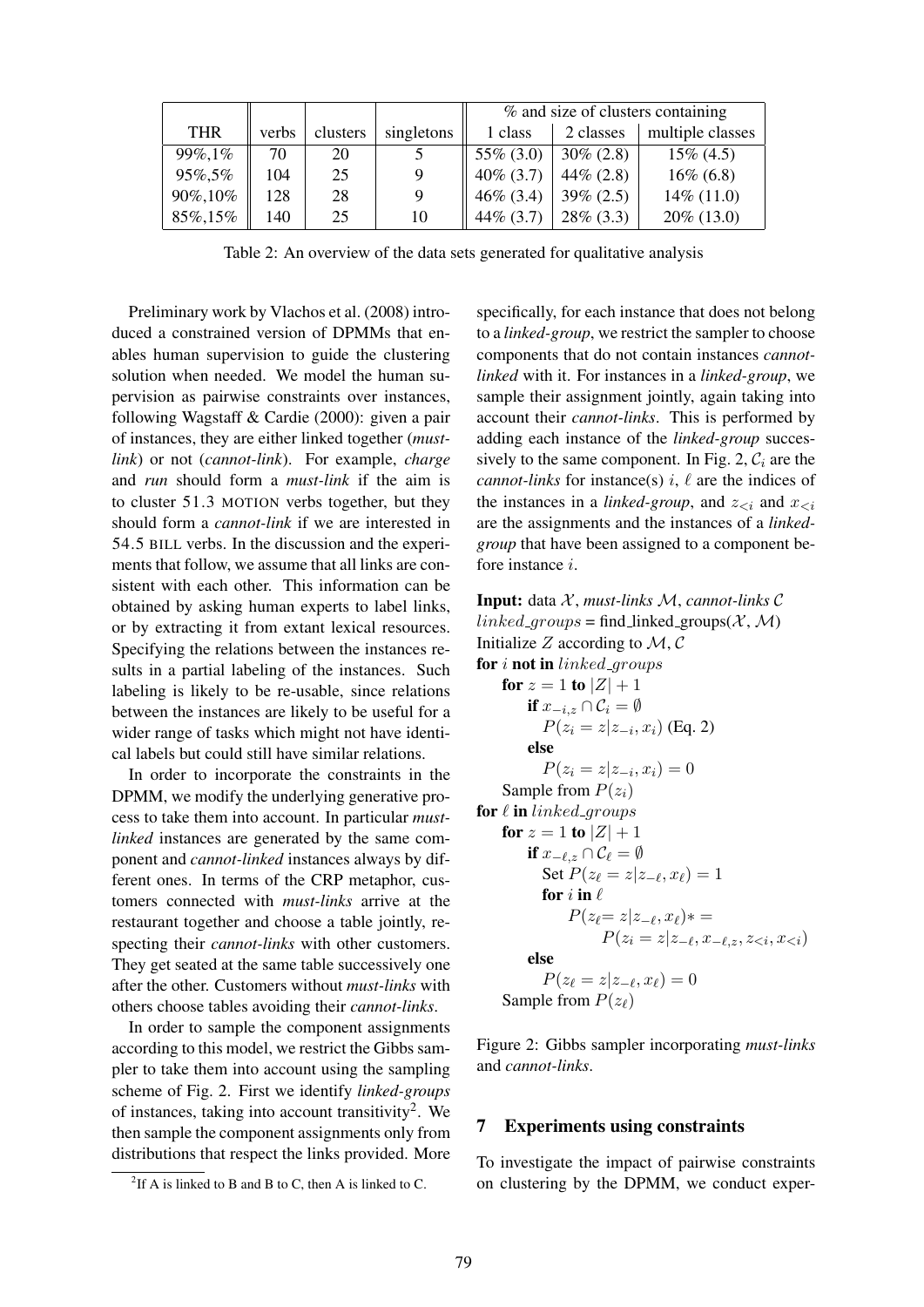|            |       |          |            | % and size of clusters containing |              |                  |
|------------|-------|----------|------------|-----------------------------------|--------------|------------------|
| <b>THR</b> | verbs | clusters | singletons | 1 class                           | 2 classes    | multiple classes |
| 99%,1%     | 70    | 20       |            | 55\% (3.0)                        | $30\% (2.8)$ | $15\%$ (4.5)     |
| 95%,5%     | 104   | 25       |            | $40\%$ (3.7)                      | $44\% (2.8)$ | $16\% (6.8)$     |
| 90%,10%    | 128   | 28       |            | $46\%$ (3.4)                      | $39\% (2.5)$ | $14\%$ (11.0)    |
| 85%,15%    | 140   | 25       | 10         | $44\%$ (3.7)                      | $28\%$ (3.3) | $20\%$ (13.0)    |

Table 2: An overview of the data sets generated for qualitative analysis

Preliminary work by Vlachos et al. (2008) introduced a constrained version of DPMMs that enables human supervision to guide the clustering solution when needed. We model the human supervision as pairwise constraints over instances, following Wagstaff & Cardie (2000): given a pair of instances, they are either linked together (*mustlink*) or not (*cannot-link*). For example, *charge* and *run* should form a *must-link* if the aim is to cluster 51.3 MOTION verbs together, but they should form a *cannot-link* if we are interested in 54.5 BILL verbs. In the discussion and the experiments that follow, we assume that all links are consistent with each other. This information can be obtained by asking human experts to label links, or by extracting it from extant lexical resources. Specifying the relations between the instances results in a partial labeling of the instances. Such labeling is likely to be re-usable, since relations between the instances are likely to be useful for a wider range of tasks which might not have identical labels but could still have similar relations.

In order to incorporate the constraints in the DPMM, we modify the underlying generative process to take them into account. In particular *mustlinked* instances are generated by the same component and *cannot-linked* instances always by different ones. In terms of the CRP metaphor, customers connected with *must-links* arrive at the restaurant together and choose a table jointly, respecting their *cannot-links* with other customers. They get seated at the same table successively one after the other. Customers without *must-links* with others choose tables avoiding their *cannot-links*.

In order to sample the component assignments according to this model, we restrict the Gibbs sampler to take them into account using the sampling scheme of Fig. 2. First we identify *linked-groups* of instances, taking into account transitivity<sup>2</sup>. We then sample the component assignments only from distributions that respect the links provided. More specifically, for each instance that does not belong to a *linked-group*, we restrict the sampler to choose components that do not contain instances *cannotlinked* with it. For instances in a *linked-group*, we sample their assignment jointly, again taking into account their *cannot-links*. This is performed by adding each instance of the *linked-group* successively to the same component. In Fig. 2,  $C_i$  are the *cannot-links* for instance(s)  $i$ ,  $\ell$  are the indices of the instances in a *linked-group*, and  $z_{\leq i}$  and  $x_{\leq i}$ are the assignments and the instances of a *linkedgroup* that have been assigned to a component before instance i.

Input: data X , *must-links* M, *cannot-links* C  $linked_{-qrows} = find_{\text{linked}_{qrows}}(\mathcal{X}, \mathcal{M})$ Initialize Z according to  $M, C$ for  $i$  not in linked groups for  $z = 1$  to  $|Z| + 1$ if  $x_{-i,z} \cap C_i = \emptyset$  $P(z_i = z | z_{-i}, x_i)$  (Eq. 2) else  $P(z_i = z | z_{-i}, x_i) = 0$ Sample from  $P(z_i)$ for  $\ell$  in linked groups for  $z = 1$  to  $|Z| + 1$ if  $x_{-\ell,z} \cap \mathcal{C}_\ell = \emptyset$ Set  $P(z_\ell = z|z_{-\ell}, x_\ell) = 1$ for  $i$  in  $\ell$  $P(z_{\ell} = z | z_{-\ell}, x_{\ell}) * =$  $P(z_i = z | z_{-\ell}, x_{-\ell,z}, z_{\leq i}, x_{\leq i})$ else  $P(z_{\ell} = z | z_{-\ell}, x_{\ell}) = 0$ Sample from  $P(z_\ell)$ 

Figure 2: Gibbs sampler incorporating *must-links* and *cannot-links*.

#### 7 Experiments using constraints

To investigate the impact of pairwise constraints on clustering by the DPMM, we conduct exper-

<sup>&</sup>lt;sup>2</sup>If A is linked to B and B to C, then A is linked to C.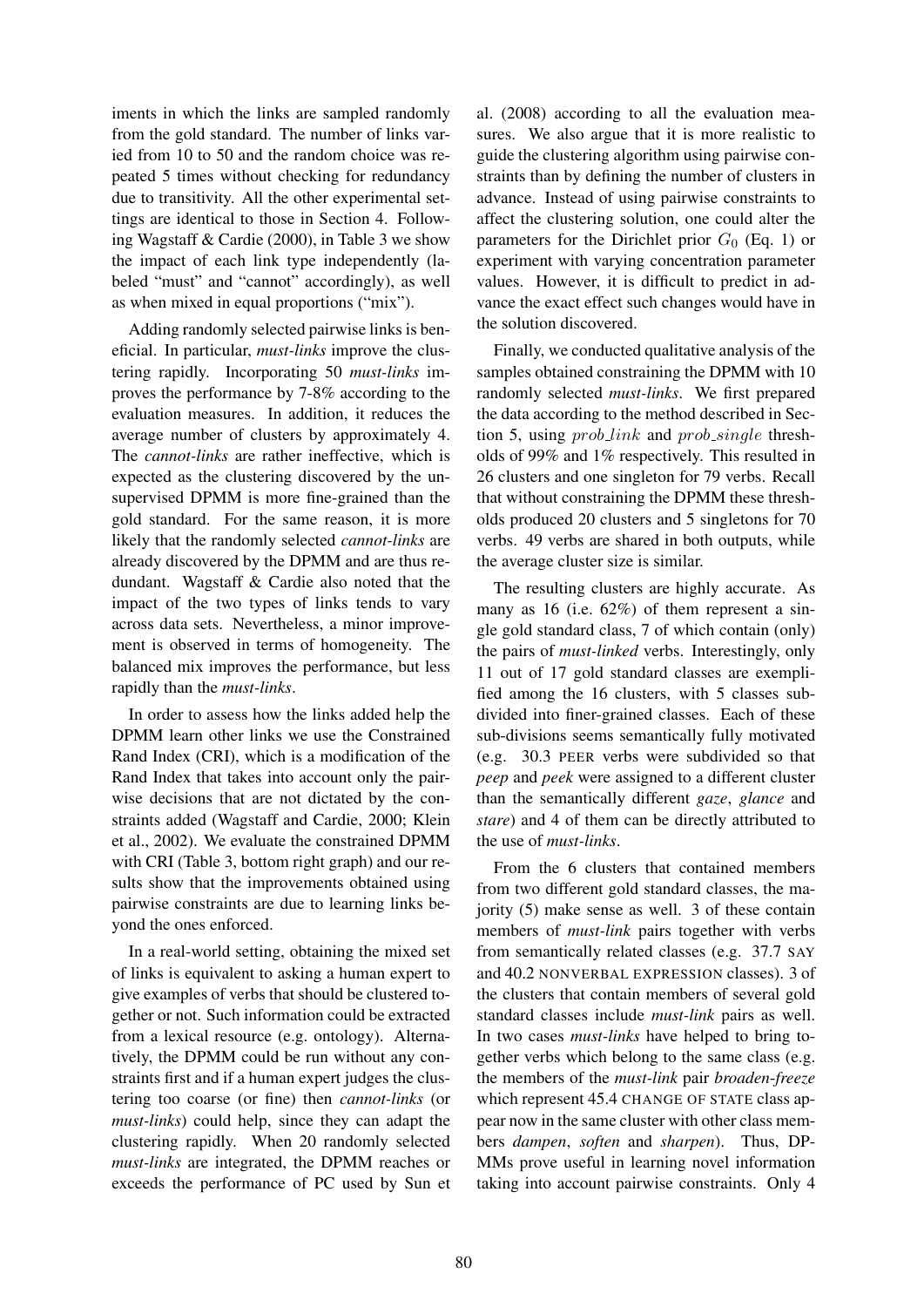iments in which the links are sampled randomly from the gold standard. The number of links varied from 10 to 50 and the random choice was repeated 5 times without checking for redundancy due to transitivity. All the other experimental settings are identical to those in Section 4. Following Wagstaff & Cardie (2000), in Table 3 we show the impact of each link type independently (labeled "must" and "cannot" accordingly), as well as when mixed in equal proportions ("mix").

Adding randomly selected pairwise links is beneficial. In particular, *must-links* improve the clustering rapidly. Incorporating 50 *must-links* improves the performance by 7-8% according to the evaluation measures. In addition, it reduces the average number of clusters by approximately 4. The *cannot-links* are rather ineffective, which is expected as the clustering discovered by the unsupervised DPMM is more fine-grained than the gold standard. For the same reason, it is more likely that the randomly selected *cannot-links* are already discovered by the DPMM and are thus redundant. Wagstaff & Cardie also noted that the impact of the two types of links tends to vary across data sets. Nevertheless, a minor improvement is observed in terms of homogeneity. The balanced mix improves the performance, but less rapidly than the *must-links*.

In order to assess how the links added help the DPMM learn other links we use the Constrained Rand Index (CRI), which is a modification of the Rand Index that takes into account only the pairwise decisions that are not dictated by the constraints added (Wagstaff and Cardie, 2000; Klein et al., 2002). We evaluate the constrained DPMM with CRI (Table 3, bottom right graph) and our results show that the improvements obtained using pairwise constraints are due to learning links beyond the ones enforced.

In a real-world setting, obtaining the mixed set of links is equivalent to asking a human expert to give examples of verbs that should be clustered together or not. Such information could be extracted from a lexical resource (e.g. ontology). Alternatively, the DPMM could be run without any constraints first and if a human expert judges the clustering too coarse (or fine) then *cannot-links* (or *must-links*) could help, since they can adapt the clustering rapidly. When 20 randomly selected *must-links* are integrated, the DPMM reaches or exceeds the performance of PC used by Sun et al. (2008) according to all the evaluation measures. We also argue that it is more realistic to guide the clustering algorithm using pairwise constraints than by defining the number of clusters in advance. Instead of using pairwise constraints to affect the clustering solution, one could alter the parameters for the Dirichlet prior  $G_0$  (Eq. 1) or experiment with varying concentration parameter values. However, it is difficult to predict in advance the exact effect such changes would have in the solution discovered.

Finally, we conducted qualitative analysis of the samples obtained constraining the DPMM with 10 randomly selected *must-links*. We first prepared the data according to the method described in Section 5, using  $prob\_link$  and  $prob\_single$  thresholds of 99% and 1% respectively. This resulted in 26 clusters and one singleton for 79 verbs. Recall that without constraining the DPMM these thresholds produced 20 clusters and 5 singletons for 70 verbs. 49 verbs are shared in both outputs, while the average cluster size is similar.

The resulting clusters are highly accurate. As many as 16 (i.e. 62%) of them represent a single gold standard class, 7 of which contain (only) the pairs of *must-linked* verbs. Interestingly, only 11 out of 17 gold standard classes are exemplified among the 16 clusters, with 5 classes subdivided into finer-grained classes. Each of these sub-divisions seems semantically fully motivated (e.g. 30.3 PEER verbs were subdivided so that *peep* and *peek* were assigned to a different cluster than the semantically different *gaze*, *glance* and *stare*) and 4 of them can be directly attributed to the use of *must-links*.

From the 6 clusters that contained members from two different gold standard classes, the majority (5) make sense as well. 3 of these contain members of *must-link* pairs together with verbs from semantically related classes (e.g. 37.7 SAY and 40.2 NONVERBAL EXPRESSION classes). 3 of the clusters that contain members of several gold standard classes include *must-link* pairs as well. In two cases *must-links* have helped to bring together verbs which belong to the same class (e.g. the members of the *must-link* pair *broaden*-*freeze* which represent 45.4 CHANGE OF STATE class appear now in the same cluster with other class members *dampen*, *soften* and *sharpen*). Thus, DP-MMs prove useful in learning novel information taking into account pairwise constraints. Only 4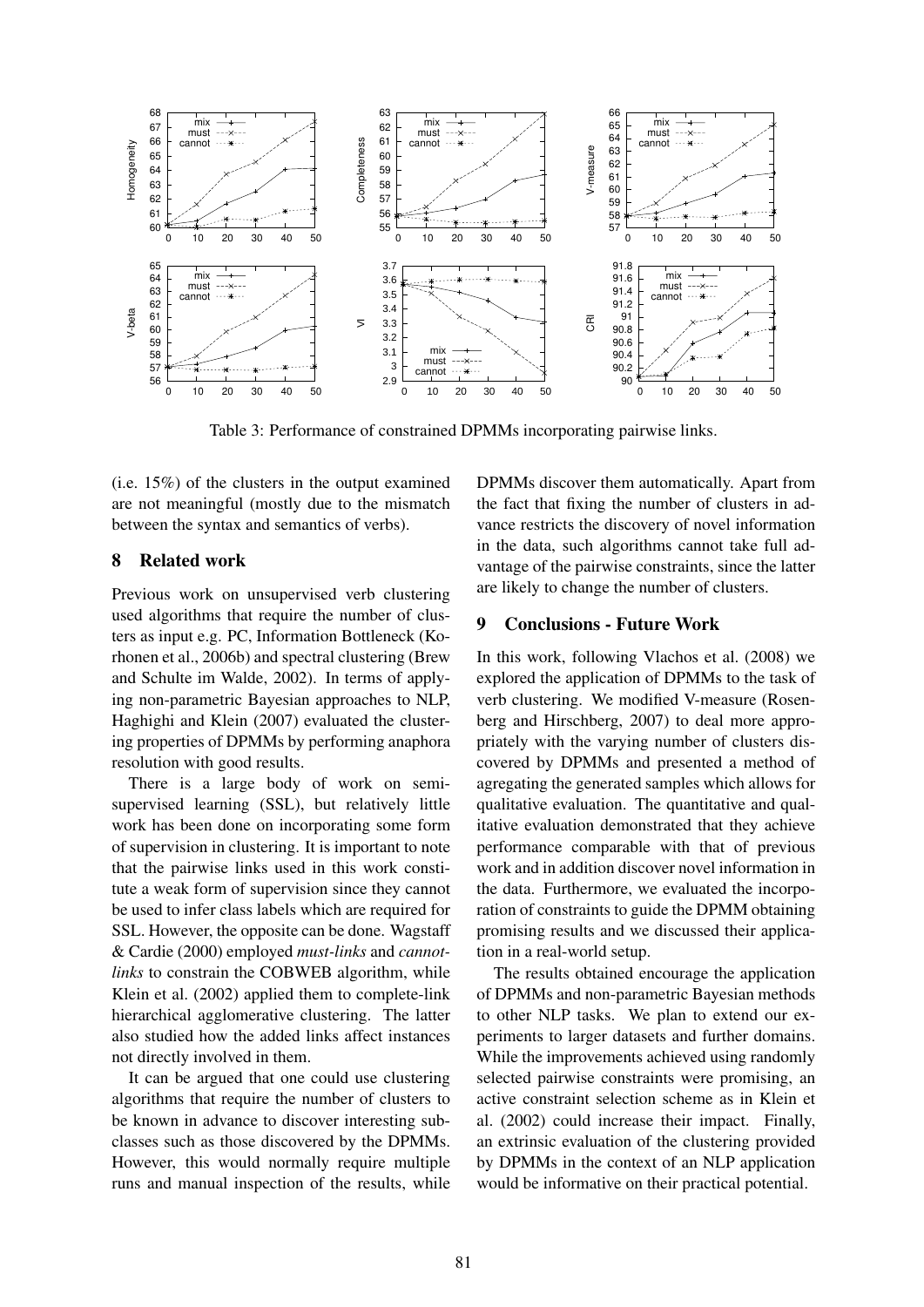

Table 3: Performance of constrained DPMMs incorporating pairwise links.

(i.e. 15%) of the clusters in the output examined are not meaningful (mostly due to the mismatch between the syntax and semantics of verbs).

# 8 Related work

Previous work on unsupervised verb clustering used algorithms that require the number of clusters as input e.g. PC, Information Bottleneck (Korhonen et al., 2006b) and spectral clustering (Brew and Schulte im Walde, 2002). In terms of applying non-parametric Bayesian approaches to NLP, Haghighi and Klein (2007) evaluated the clustering properties of DPMMs by performing anaphora resolution with good results.

There is a large body of work on semisupervised learning (SSL), but relatively little work has been done on incorporating some form of supervision in clustering. It is important to note that the pairwise links used in this work constitute a weak form of supervision since they cannot be used to infer class labels which are required for SSL. However, the opposite can be done. Wagstaff & Cardie (2000) employed *must-links* and *cannotlinks* to constrain the COBWEB algorithm, while Klein et al. (2002) applied them to complete-link hierarchical agglomerative clustering. The latter also studied how the added links affect instances not directly involved in them.

It can be argued that one could use clustering algorithms that require the number of clusters to be known in advance to discover interesting subclasses such as those discovered by the DPMMs. However, this would normally require multiple runs and manual inspection of the results, while

DPMMs discover them automatically. Apart from the fact that fixing the number of clusters in advance restricts the discovery of novel information in the data, such algorithms cannot take full advantage of the pairwise constraints, since the latter are likely to change the number of clusters.

# 9 Conclusions - Future Work

In this work, following Vlachos et al. (2008) we explored the application of DPMMs to the task of verb clustering. We modified V-measure (Rosenberg and Hirschberg, 2007) to deal more appropriately with the varying number of clusters discovered by DPMMs and presented a method of agregating the generated samples which allows for qualitative evaluation. The quantitative and qualitative evaluation demonstrated that they achieve performance comparable with that of previous work and in addition discover novel information in the data. Furthermore, we evaluated the incorporation of constraints to guide the DPMM obtaining promising results and we discussed their application in a real-world setup.

The results obtained encourage the application of DPMMs and non-parametric Bayesian methods to other NLP tasks. We plan to extend our experiments to larger datasets and further domains. While the improvements achieved using randomly selected pairwise constraints were promising, an active constraint selection scheme as in Klein et al. (2002) could increase their impact. Finally, an extrinsic evaluation of the clustering provided by DPMMs in the context of an NLP application would be informative on their practical potential.